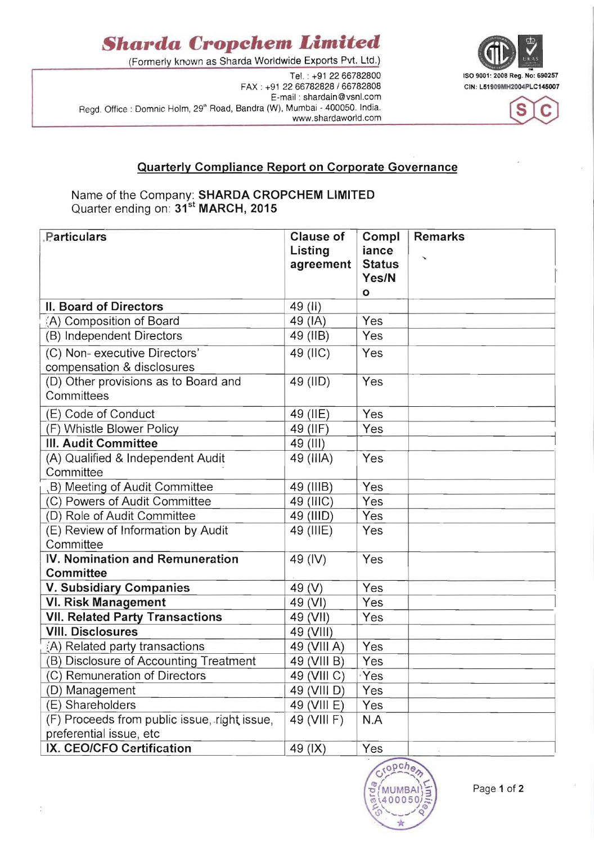## *Sharda* **Cropchem** *Limited*

(Formerly kn0wn as Sharda Worldwide Exports Pvt. Ltd.)

FAX: +91 22 66782828 / 66782808 E-mail : shardain@vsnl.com Regd. Office: Domnic Holm, 29" Road, Bandra (W), Mumbai - 400050. India. www.shardaworld.com





### **Quarterly Compliance Report on Corporate Governance**

#### Name of the Company: **SHARDA CROPCHEM LIMITED**  Quarter ending on: 31<sup>st</sup> MARCH, 2015

| <b>Particulars</b>                                          | <b>Clause of</b><br>Listing<br>agreement | Compl<br>iance<br><b>Status</b><br>Yes/N | <b>Remarks</b> |
|-------------------------------------------------------------|------------------------------------------|------------------------------------------|----------------|
|                                                             |                                          | $\mathbf{o}$                             |                |
| II. Board of Directors                                      | 49 (li)                                  |                                          |                |
| (A) Composition of Board                                    | 49 (IA)                                  | Yes                                      |                |
| (B) Independent Directors                                   | 49 (IIB)                                 | Yes                                      |                |
| (C) Non- executive Directors'<br>compensation & disclosures | 49 (IIC)                                 | Yes                                      |                |
| (D) Other provisions as to Board and<br>Committees          | 49 (IID)                                 | Yes                                      |                |
| (E) Code of Conduct                                         | 49 (IIE)                                 | Yes                                      |                |
| (F) Whistle Blower Policy                                   | 49 (IIF)                                 | Yes                                      |                |
| III. Audit Committee                                        | 49 (III)                                 |                                          |                |
| (A) Qualified & Independent Audit<br>Committee              | 49 (IIIA)                                | Yes                                      |                |
| B) Meeting of Audit Committee                               | 49 (IIIB)                                | Yes                                      |                |
| (C) Powers of Audit Committee                               | 49 (IIIC)                                | Yes                                      |                |
| (D) Role of Audit Committee                                 | 49 (IIID)                                | Yes                                      |                |
| (E) Review of Information by Audit<br>Committee             | 49 (IIIE)                                | Yes                                      |                |
| IV. Nomination and Remuneration<br><b>Committee</b>         | 49 (IV)                                  | Yes                                      |                |
| <b>V. Subsidiary Companies</b>                              | 49 (V)                                   | Yes                                      |                |
| <b>VI. Risk Management</b>                                  | 49 (VI)                                  | Yes                                      |                |
| <b>VII. Related Party Transactions</b>                      | 49 (VII)                                 | Yes                                      |                |
| <b>VIII. Disclosures</b>                                    | 49 (VIII)                                |                                          |                |
| (A) Related party transactions                              | 49 (VIII A)                              | Yes                                      |                |
| (B) Disclosure of Accounting Treatment                      | 49 (VIII B)                              | Yes                                      |                |
| (C) Remuneration of Directors                               | 49 (VIII C)                              | ∘Yes                                     |                |
| (D) Management                                              | 49 (VIII D)                              | Yes                                      |                |
| (E) Shareholders                                            | 49 (VIII E)                              | Yes                                      |                |
| (F) Proceeds from public issue, right issue,                | 49 (VIII F)                              | N.A                                      |                |
| preferential issue, etc                                     |                                          |                                          |                |
| IX. CEO/CFO Certification                                   | 49 (IX)                                  | Yes                                      |                |